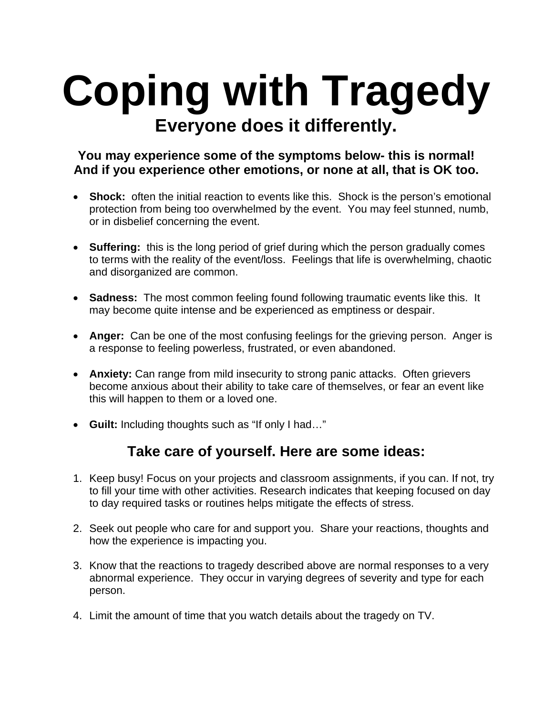## **Coping with Tragedy Everyone does it differently.**

## **You may experience some of the symptoms below- this is normal! And if you experience other emotions, or none at all, that is OK too.**

- **Shock:** often the initial reaction to events like this. Shock is the person's emotional protection from being too overwhelmed by the event. You may feel stunned, numb, or in disbelief concerning the event.
- **Suffering:** this is the long period of grief during which the person gradually comes to terms with the reality of the event/loss. Feelings that life is overwhelming, chaotic and disorganized are common.
- **Sadness:** The most common feeling found following traumatic events like this. It may become quite intense and be experienced as emptiness or despair.
- **Anger:** Can be one of the most confusing feelings for the grieving person. Anger is a response to feeling powerless, frustrated, or even abandoned.
- **Anxiety:** Can range from mild insecurity to strong panic attacks. Often grievers become anxious about their ability to take care of themselves, or fear an event like this will happen to them or a loved one.
- **Guilt:** Including thoughts such as "If only I had…"

## **Take care of yourself. Here are some ideas:**

- 1. Keep busy! Focus on your projects and classroom assignments, if you can. If not, try to fill your time with other activities. Research indicates that keeping focused on day to day required tasks or routines helps mitigate the effects of stress.
- 2. Seek out people who care for and support you. Share your reactions, thoughts and how the experience is impacting you.
- 3. Know that the reactions to tragedy described above are normal responses to a very abnormal experience. They occur in varying degrees of severity and type for each person.
- 4. Limit the amount of time that you watch details about the tragedy on TV.